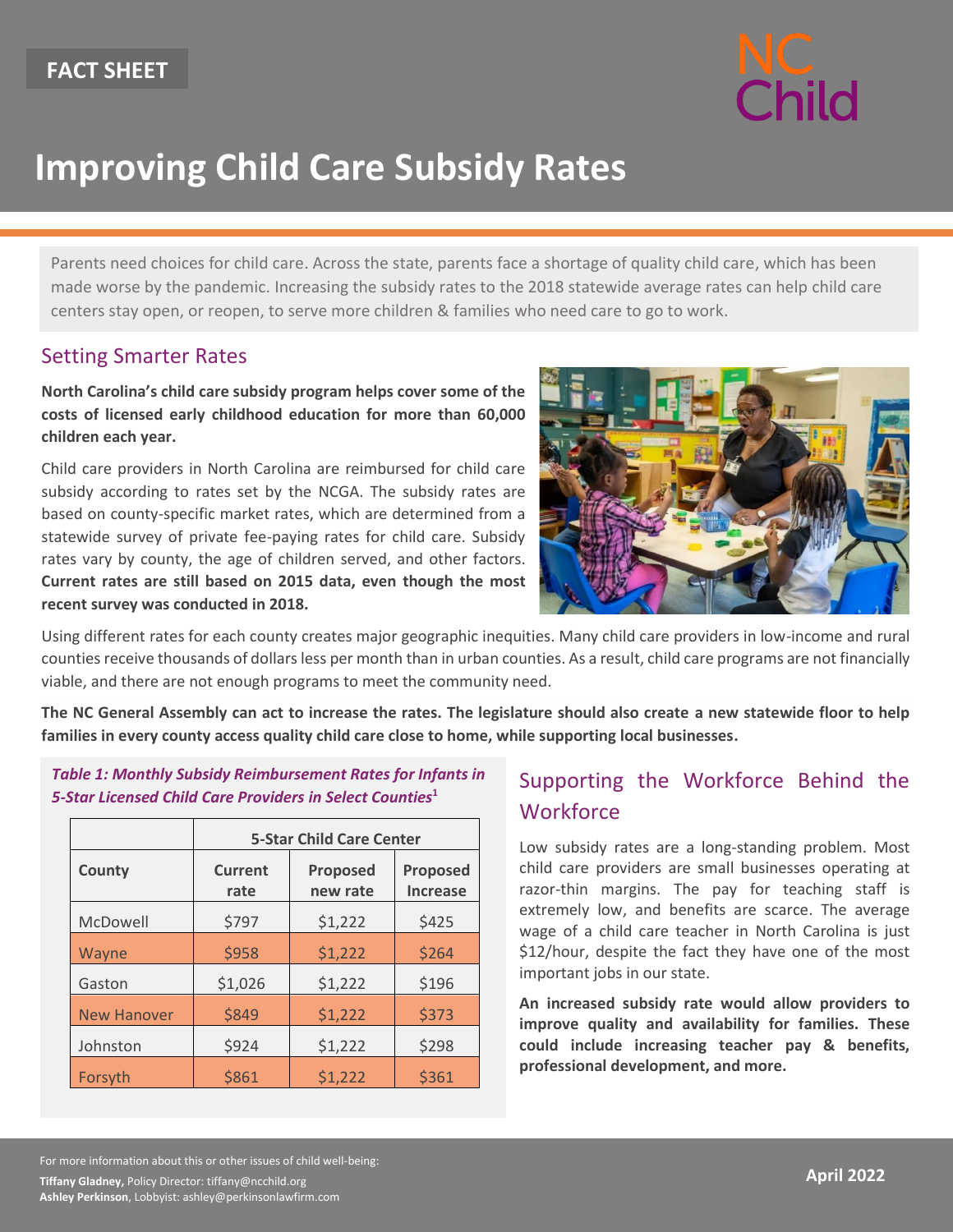

# **Improving Child Care Subsidy Rates**

Parents need choices for child care. Across the state, parents face a shortage of quality child care, which has been made worse by the pandemic. Increasing the subsidy rates to the 2018 statewide average rates can help child care centers stay open, or reopen, to serve more children & families who need care to go to work.

### Setting Smarter Rates

**North Carolina's child care subsidy program helps cover some of the costs of licensed early childhood education for more than 60,000 children each year.** 

Child care providers in North Carolina are reimbursed for child care subsidy according to rates set by the NCGA. The subsidy rates are based on county-specific market rates, which are determined from a statewide survey of private fee-paying rates for child care. Subsidy rates vary by county, the age of children served, and other factors. **Current rates are still based on 2015 data, even though the most recent survey was conducted in 2018.**



Using different rates for each county creates major geographic inequities. Many child care providers in low-income and rural counties receive thousands of dollars less per month than in urban counties. As a result, child care programs are not financially viable, and there are not enough programs to meet the community need.

**The NC General Assembly can act to increase the rates. The legislature should also create a new statewide floor to help families in every county access quality child care close to home, while supporting local businesses.** 

|                    | <b>5-Star Child Care Center</b> |                             |                                    |
|--------------------|---------------------------------|-----------------------------|------------------------------------|
| County             | Current<br>rate                 | <b>Proposed</b><br>new rate | <b>Proposed</b><br><b>Increase</b> |
| McDowell           | \$797                           | \$1,222                     | \$425                              |
| Wayne              | \$958                           | \$1,222                     | \$264                              |
| Gaston             | \$1,026                         | \$1,222                     | \$196                              |
| <b>New Hanover</b> | \$849                           | \$1,222                     | \$373                              |
| Johnston           | \$924                           | \$1,222                     | \$298                              |
| Forsyth            | \$861                           | \$1,222                     | \$361                              |

#### *Table 1: Monthly Subsidy Reimbursement Rates for Infants in 5-Star Licensed Child Care Providers in Select Counties***<sup>1</sup>**

## Supporting the Workforce Behind the **Workforce**

Low subsidy rates are a long-standing problem. Most child care providers are small businesses operating at razor-thin margins. The pay for teaching staff is extremely low, and benefits are scarce. The average wage of a child care teacher in North Carolina is just \$12/hour, despite the fact they have one of the most important jobs in our state.

**An increased subsidy rate would allow providers to improve quality and availability for families. These could include increasing teacher pay & benefits, professional development, and more.** 

For more information about this or other issues of child well-being:

**Tiffany Gladney,** Policy Director: tiffany@ncchild.org